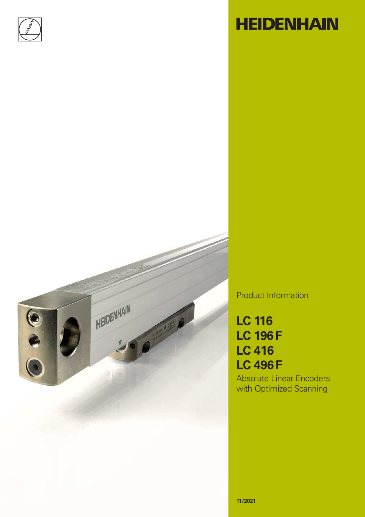

# **HEIDENHAIN**



Product Information

## **LC 116 LC 196F LC 416 LC 496F**

Absolute Linear Encoders with Optimized Scanning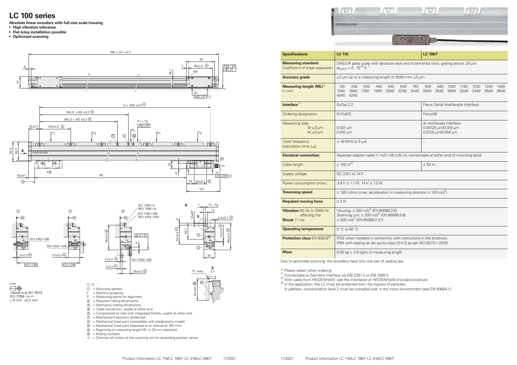#### **LC 100 series**

**Absolute linear encoders with full-size scale housing**

- **• High vibration tolerance**
- **• Flat-lying installation possible**
- **• Optimized scanning**



|                       | in creating about a<br><b>HEIDENHAIN</b><br>$\mathbb{C}$<br>$\cup$<br><b>HE MAIN MAIL</b><br><b>PERSONAL</b> |                |
|-----------------------|--------------------------------------------------------------------------------------------------------------|----------------|
| <b>Specifications</b> | <b>LC 116</b>                                                                                                | <b>LC 196F</b> |

| <b>Measuring standard</b><br>Coefficient of linear expansion      | DIADUR glass scale with absolute track and incremental track; grat<br>$\alpha_{\text{therm}} \approx 8 \cdot 10^{-6} \text{ K}^{-1}$                      |                                                                         |  |  |  |  |  |  |
|-------------------------------------------------------------------|-----------------------------------------------------------------------------------------------------------------------------------------------------------|-------------------------------------------------------------------------|--|--|--|--|--|--|
| <b>Accuracy grade</b>                                             | $\pm$ 3 µm up to a measuring length of 3040 mm; $\pm$ 5 µm                                                                                                |                                                                         |  |  |  |  |  |  |
| <b>Measuring length (ML)*</b><br>in mm                            | 140<br>240<br>440<br>340<br>540<br>640<br>740<br>1540<br>1640<br>1740<br>2240<br>2440<br>1840<br>2040<br>4040<br>4240                                     | 840<br>940<br>2640<br>2840                                              |  |  |  |  |  |  |
| Interface <sup>1)</sup>                                           | EnDat 2.2                                                                                                                                                 | Fanuc Serial In                                                         |  |  |  |  |  |  |
| Ordering designation                                              | EnDat22                                                                                                                                                   | Fanuc05                                                                 |  |  |  |  |  |  |
| <b>Measuring step</b><br>$At \pm 3 \mu m$<br>At $±5 \mu m$        | $0.001 \mu m$<br>$0.010 \mu m$                                                                                                                            | $\alpha$ i interface/ $\alpha$ i<br>0.00125 µm/0.<br>$0.0125 \mu m/0.0$ |  |  |  |  |  |  |
| Clock frequency<br>(calculation time t <sub>cal</sub> )           | $\leq$ 16 MHz ( $\leq$ 5 µs)                                                                                                                              | $\qquad \qquad -$                                                       |  |  |  |  |  |  |
| <b>Electrical connection</b>                                      | Separate adapter cable (1 m/3 m/6 m/9 m), connectable at either e                                                                                         |                                                                         |  |  |  |  |  |  |
| Cable length                                                      | $\leq 100 \text{ m}^{2}$                                                                                                                                  | $\leq 50$ m                                                             |  |  |  |  |  |  |
| Supply voltage                                                    | DC 3.6 V to 14 V                                                                                                                                          |                                                                         |  |  |  |  |  |  |
| Power consumption (max.)                                          | $3.6$ V: $\leq 1.1$ W; $14$ V: $\leq 1.3$ W                                                                                                               |                                                                         |  |  |  |  |  |  |
| <b>Traversing speed</b>                                           | $\leq$ 180 m/min (max. acceleration in measuring direction $\leq$ 100 m/s <sup>2</sup> )                                                                  |                                                                         |  |  |  |  |  |  |
| <b>Required moving force</b>                                      | $\leq 4 N$                                                                                                                                                |                                                                         |  |  |  |  |  |  |
| Vibration 55 Hz to 2000 Hz<br>affecting the<br><b>Shock</b> 11 ms | Housing: $\leq 200 \text{ m/s}^2$ (EN 60068-2-6)<br>Scanning unit: $\leq 200 \text{ m/s}^2$ (EN 60068-2-6)<br>$\leq$ 300 m/s <sup>2</sup> (EN 60068-2-27) |                                                                         |  |  |  |  |  |  |
| <b>Operating temperature</b>                                      | 0 °C to 50 °C                                                                                                                                             |                                                                         |  |  |  |  |  |  |
| Protection class EN 605293)                                       | IP53 when installed in conformity with instructions in the brochure<br>IP64 with sealing air (air purity class [3:4:2] as per ISO 8573-1:2010             |                                                                         |  |  |  |  |  |  |
| <b>Mass</b>                                                       | $0.55$ kg + 2.9 kg/m of measuring length                                                                                                                  |                                                                         |  |  |  |  |  |  |
|                                                                   |                                                                                                                                                           |                                                                         |  |  |  |  |  |  |

Due to optimized scanning, the encoders have only one pair of sealing lips.

 $\frac{4}{1}$  Please select when ordering<br> $\frac{1}{5}$  Connectable to Siemens interface via EIB 2391 S or EIB 3392 S

2) With cable from HEIDENHAIN: see the *Interfaces of HEIDENHAIN Encoders* brochure

<sup>3)</sup> In the application, the LC must be protected from the ingress of particles.

In addition, contamination level 2 must be complied with in the micro-environment (see EN 60664-1).



te track and incremental track; grating period: 20 µm

# **of 3040 mm; ±5 µm** 140 240 340 440 540 640 740 840 940 1040 1140 1240 1340 1440 1540 1640 1740 1840 2040 2240 2440 2640 2840 3040 3240 3440 3640 3840 Fanuc Serial Interface/αi Interface  $\alpha$ i interface/ $\alpha$  interface 0.00125 µm/0.010 µm 0.0125 µm/0.050 µm /6 m/9 m), connectable at either end of mounting block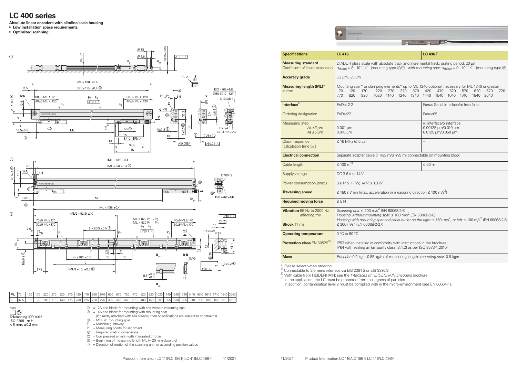

### **LC 400 series**

**Absolute linear encoders with slimline scale housing**

- **• Low installation space requirements**
- **• Optimized scanning**

#### **Specifications LC 416 LC 496F Measuring standard** Coefficient of linear expansion **Accuracy grade**  $\qquad \qquad \pm 3 \text{ }\mu\text{m}, \pm 5 \text{ }\mu\text{m}$ **Measuring length (ML)**\* Mounting spar\* or clamping elen 70 120 170 220 27 770 820 920 1020 114

DIADUR glass scale with absolute track and incremental track; grating period: 20 µm  $\alpha_{\text{therm}} \approx 8 \cdot 10^{-6} \text{ K}^{-1}$  (mounting type  $\mathbb{O}/\mathbb{O}$ ); *with mounting spar:*  $\alpha_{\text{therm}} \approx 9 \cdot 10^{-6} \text{ K}^{-1}$  (mounting type  $\mathbb{O}$ )

| <b>Measuring length (ML)*</b><br>in mm                  | 70<br>770                                                              | 120<br>820 | 170<br>920 | 220<br>1020 | 270<br>1140 | 320<br>1240 | 370<br>1340                         | 420<br>1440 | 470<br>1540 | 520<br>1640                                                                                           | 570<br>1740 | 620<br>1840 | Mounting spar* or clamping elements* up to ML 1240 optional; necessary for ML 1340 or greater<br>670<br>2040 | 720 |
|---------------------------------------------------------|------------------------------------------------------------------------|------------|------------|-------------|-------------|-------------|-------------------------------------|-------------|-------------|-------------------------------------------------------------------------------------------------------|-------------|-------------|--------------------------------------------------------------------------------------------------------------|-----|
| Interface <sup>1)</sup>                                 | EnDat 2.2                                                              |            |            |             |             |             | Fanuc Serial Interface/oi Interface |             |             |                                                                                                       |             |             |                                                                                                              |     |
| Ordering designation                                    | EnDat <sub>22</sub>                                                    |            |            |             |             | Fanuc05     |                                     |             |             |                                                                                                       |             |             |                                                                                                              |     |
| Measuring step<br>At $\pm 3 \mu m$<br>At $\pm 5 \mu m$  | $0.001 \mu m$<br>$0.010 \mu m$                                         |            |            |             |             |             |                                     |             |             | $\alpha$ i interface/ $\alpha$ interface<br>$0.00125 \mu m/0.010 \mu m$<br>$0.0125 \mu m/0.050 \mu m$ |             |             |                                                                                                              |     |
| Clock frequency<br>(calculation time t <sub>cal</sub> ) | $\leq$ 16 MHz ( $\leq$ 5 µs)                                           |            |            |             |             |             |                                     |             |             |                                                                                                       |             |             |                                                                                                              |     |
| <b>Electrical connection</b>                            | Separate adapter cable (1 m/3 m/6 m/9 m) connectable on mounting block |            |            |             |             |             |                                     |             |             |                                                                                                       |             |             |                                                                                                              |     |
|                                                         |                                                                        | $\bigcap$  |            |             |             |             |                                     |             |             |                                                                                                       |             |             |                                                                                                              |     |

*Housing with mounting spar and cable outlet on the right:* ≤ 150 m/s<sup>2</sup>, or left: ≤ 100 m/s<sup>2</sup> (EN 60068-2-6)

in mm

\* Please select when ordering<br><sup>1)</sup> Connectable to Siemens interface via EIB 2391 S or EIB 3392 S

<sup>3)</sup> In the application, the LC must be protected from the ingress of particles. In addition, contamination level 2 must be complied with in the micro-environment (see EN 60664-1).

 $\mathsf{m}\mathsf{r}$ ......<br>Tolerancing ISO 8015<br>ISO 2768 - m H  $< 6$  mm:  $±0.2$  mm

- $\textcircled{1}$  = 12A end block; for mounting with and without mounting spar  $\textcircled{1}$  = 14A end block; for mounting with mounting spar
- = 14A end block; for mounting with mounting spar
- (if directly attached with M4 screws, then specifications are subject to constraints)
- $\textcircled{1}$  = MSL 41 mounting spar
- $F =$  Machine guideway
- $P = Measuring points for alignment$
- $\mathbb{R}$  = Required mating dimensions
- $<sup>①</sup>$  = Compressed air inlet with integrated throttle</sup>
- $\circ$  = Beginning of measuring length ML (= 20 mm absolute)
- $\Rightarrow$  = Direction of motion of the scanning unit for ascending position values
	- Product Information LC 116/LC 196F, LC 416/LC 496F 11/2021 11/2021 Product Information LC 116/LC 196F, LC 416/LC 496F

| <b>D-4 10 1</b> |  |  |
|-----------------|--|--|
|                 |  |  |

| Clock frequency<br>$\leq$ 16 MHz ( $\leq$ 5 µs)<br>(calculation time t <sub>cal</sub> )<br><b>Electrical connection</b><br>≤ 100 m <sup>2)</sup><br>Cable length<br>$\leq 50$ m<br>DC 3.6 V to 14 V<br>Supply voltage<br>$3.6$ V: $\leq 1.1$ W; $14$ V: $\leq 1.3$ W<br>Power consumption (max.)<br>≤ 180 m/min (max. acceleration in measuring direction ≤ 100 m/s <sup>2</sup> )<br><b>Traversing speed</b><br>$\leq 5 N$<br><b>Required moving force</b><br>Scanning unit: $\leq 200$ m/s <sup>2</sup> (EN 60068-2-6)<br><b>Vibration</b> 55 Hz to 2000 Hz<br>Housing without mounting spar: $\leq 100$ m/s <sup>2</sup> (EN 60068-2-6)<br>affecting the<br>$\leq$ 300 m/s <sup>2</sup> (EN 60068-2-27)<br><b>Shock</b> 11 ms<br>$0^{\circ}$ C to 50 $^{\circ}$ C<br><b>Operating temperature</b><br>Protection class EN 60529 <sup>3)</sup><br>IP53 when installed in conformity with instructions in the brochure;<br>IP64 with sealing air (air purity class [3:4:2] as per ISO 8573-1:2010)<br><b>Mass</b><br>Encoder: 0.2 kg + 0.55 kg/m of measuring length; mounting spar: 0.9 kg/m | Measuring step<br>At $\pm 3 \mu m$<br>At $±5 \mu m$ | $0.001 \mu m$<br>$0.010 \mu m$                                                                | αi interface/α interface<br>0.00125 µm/0.010 µm<br>0.0125 µm/0.050 µm |  |  |  |  |
|-----------------------------------------------------------------------------------------------------------------------------------------------------------------------------------------------------------------------------------------------------------------------------------------------------------------------------------------------------------------------------------------------------------------------------------------------------------------------------------------------------------------------------------------------------------------------------------------------------------------------------------------------------------------------------------------------------------------------------------------------------------------------------------------------------------------------------------------------------------------------------------------------------------------------------------------------------------------------------------------------------------------------------------------------------------------------------------------------|-----------------------------------------------------|-----------------------------------------------------------------------------------------------|-----------------------------------------------------------------------|--|--|--|--|
|                                                                                                                                                                                                                                                                                                                                                                                                                                                                                                                                                                                                                                                                                                                                                                                                                                                                                                                                                                                                                                                                                               |                                                     |                                                                                               |                                                                       |  |  |  |  |
|                                                                                                                                                                                                                                                                                                                                                                                                                                                                                                                                                                                                                                                                                                                                                                                                                                                                                                                                                                                                                                                                                               |                                                     | Separate adapter cable (1 m/3 m/6 m/9 m) connectable on mounting block                        |                                                                       |  |  |  |  |
|                                                                                                                                                                                                                                                                                                                                                                                                                                                                                                                                                                                                                                                                                                                                                                                                                                                                                                                                                                                                                                                                                               |                                                     |                                                                                               |                                                                       |  |  |  |  |
|                                                                                                                                                                                                                                                                                                                                                                                                                                                                                                                                                                                                                                                                                                                                                                                                                                                                                                                                                                                                                                                                                               |                                                     |                                                                                               |                                                                       |  |  |  |  |
|                                                                                                                                                                                                                                                                                                                                                                                                                                                                                                                                                                                                                                                                                                                                                                                                                                                                                                                                                                                                                                                                                               |                                                     |                                                                                               |                                                                       |  |  |  |  |
|                                                                                                                                                                                                                                                                                                                                                                                                                                                                                                                                                                                                                                                                                                                                                                                                                                                                                                                                                                                                                                                                                               |                                                     |                                                                                               |                                                                       |  |  |  |  |
|                                                                                                                                                                                                                                                                                                                                                                                                                                                                                                                                                                                                                                                                                                                                                                                                                                                                                                                                                                                                                                                                                               |                                                     |                                                                                               |                                                                       |  |  |  |  |
|                                                                                                                                                                                                                                                                                                                                                                                                                                                                                                                                                                                                                                                                                                                                                                                                                                                                                                                                                                                                                                                                                               |                                                     | Housing with mounting spar and cable outlet on the right: $\leq$ 150 m/s <sup>2</sup> , or le |                                                                       |  |  |  |  |
|                                                                                                                                                                                                                                                                                                                                                                                                                                                                                                                                                                                                                                                                                                                                                                                                                                                                                                                                                                                                                                                                                               |                                                     |                                                                                               |                                                                       |  |  |  |  |
|                                                                                                                                                                                                                                                                                                                                                                                                                                                                                                                                                                                                                                                                                                                                                                                                                                                                                                                                                                                                                                                                                               |                                                     |                                                                                               |                                                                       |  |  |  |  |
|                                                                                                                                                                                                                                                                                                                                                                                                                                                                                                                                                                                                                                                                                                                                                                                                                                                                                                                                                                                                                                                                                               |                                                     |                                                                                               |                                                                       |  |  |  |  |

2) With cable from HEIDENHAIN: see the *Interfaces of HEIDENHAIN Encoders* brochure